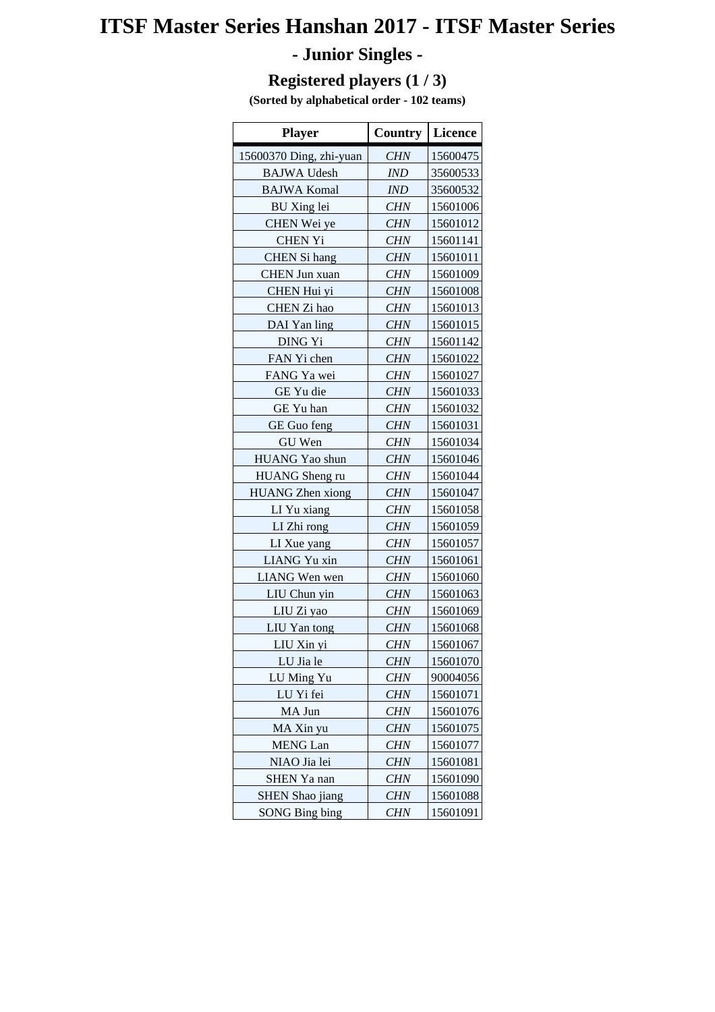# **ITSF Master Series Hanshan 2017 - ITSF Master Series**

## **- Junior Singles -**

#### **Registered players (1 / 3)**

**(Sorted by alphabetical order - 102 teams)**

| <b>Player</b>           | <b>Country</b> | <b>Licence</b> |
|-------------------------|----------------|----------------|
| 15600370 Ding, zhi-yuan | <b>CHN</b>     | 15600475       |
| <b>BAJWA Udesh</b>      | <b>IND</b>     | 35600533       |
| <b>BAJWA Komal</b>      | IND            | 35600532       |
| <b>BU</b> Xing lei      | <b>CHN</b>     | 15601006       |
| CHEN Wei ye             | <b>CHN</b>     | 15601012       |
| <b>CHEN Yi</b>          | <b>CHN</b>     | 15601141       |
| <b>CHEN</b> Si hang     | <b>CHN</b>     | 15601011       |
| <b>CHEN Jun xuan</b>    | <b>CHN</b>     | 15601009       |
| CHEN Hui yi             | CHN            | 15601008       |
| CHEN Zi hao             | <b>CHN</b>     | 15601013       |
| DAI Yan ling            | <b>CHN</b>     | 15601015       |
| DING Yi                 | <b>CHN</b>     | 15601142       |
| FAN Yi chen             | <b>CHN</b>     | 15601022       |
| FANG Ya wei             | <b>CHN</b>     | 15601027       |
| GE Yu die               | CHN            | 15601033       |
| GE Yu han               | <b>CHN</b>     | 15601032       |
| <b>GE</b> Guo feng      | <b>CHN</b>     | 15601031       |
| GU Wen                  | <b>CHN</b>     | 15601034       |
| HUANG Yao shun          | <b>CHN</b>     | 15601046       |
| <b>HUANG</b> Sheng ru   | <b>CHN</b>     | 15601044       |
| <b>HUANG</b> Zhen xiong | <b>CHN</b>     | 15601047       |
| LI Yu xiang             | <b>CHN</b>     | 15601058       |
| LI Zhi rong             | <b>CHN</b>     | 15601059       |
| LI Xue yang             | <b>CHN</b>     | 15601057       |
| LIANG Yu xin            | <b>CHN</b>     | 15601061       |
| LIANG Wen wen           | <b>CHN</b>     | 15601060       |
| LIU Chun yin            | CHN            | 15601063       |
| LIU Zi yao              | <b>CHN</b>     | 15601069       |
| LIU Yan tong            | <b>CHN</b>     | 15601068       |
| LIU Xin yi              | <b>CHN</b>     | 15601067       |
| LU Jia le               | <b>CHN</b>     | 15601070       |
| LU Ming Yu              | <i>CHN</i>     | 90004056       |
| LU Yi fei               | <b>CHN</b>     | 15601071       |
| MA Jun                  | <b>CHN</b>     | 15601076       |
| MA Xin yu               | <b>CHN</b>     | 15601075       |
| <b>MENG</b> Lan         | CHN            | 15601077       |
| NIAO Jia lei            | CHN            | 15601081       |
| SHEN Ya nan             | <b>CHN</b>     | 15601090       |
| <b>SHEN Shao jiang</b>  | <b>CHN</b>     | 15601088       |
| <b>SONG Bing bing</b>   | CHN            | 15601091       |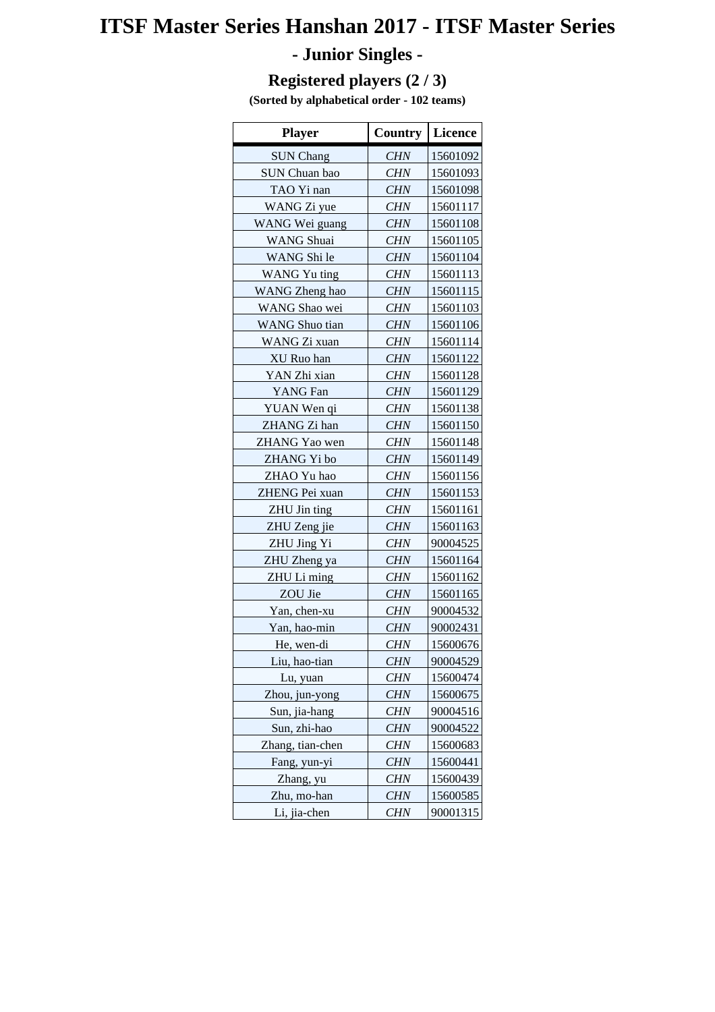## **ITSF Master Series Hanshan 2017 - ITSF Master Series**

## **- Junior Singles -**

#### **Registered players (2 / 3)**

**(Sorted by alphabetical order - 102 teams)**

| <b>Player</b>         | <b>Country</b> | <b>Licence</b> |
|-----------------------|----------------|----------------|
| <b>SUN Chang</b>      | <b>CHN</b>     | 15601092       |
| SUN Chuan bao         | <b>CHN</b>     | 15601093       |
| TAO Yi nan            | <b>CHN</b>     | 15601098       |
| WANG Zi yue           | <b>CHN</b>     | 15601117       |
| WANG Wei guang        | <b>CHN</b>     | 15601108       |
| <b>WANG</b> Shuai     | <b>CHN</b>     | 15601105       |
| WANG Shi le           | <b>CHN</b>     | 15601104       |
| WANG Yu ting          | <b>CHN</b>     | 15601113       |
| WANG Zheng hao        | <b>CHN</b>     | 15601115       |
| WANG Shao wei         | <b>CHN</b>     | 15601103       |
| <b>WANG</b> Shuo tian | <b>CHN</b>     | 15601106       |
| WANG Zi xuan          | <b>CHN</b>     | 15601114       |
| XU Ruo han            | <b>CHN</b>     | 15601122       |
| YAN Zhi xian          | <b>CHN</b>     | 15601128       |
| YANG Fan              | <b>CHN</b>     | 15601129       |
| YUAN Wen qi           | <b>CHN</b>     | 15601138       |
| ZHANG Zi han          | <b>CHN</b>     | 15601150       |
| ZHANG Yao wen         | <b>CHN</b>     | 15601148       |
| ZHANG Yi bo           | <b>CHN</b>     | 15601149       |
| ZHAO Yu hao           | <b>CHN</b>     | 15601156       |
| ZHENG Pei xuan        | <b>CHN</b>     | 15601153       |
| ZHU Jin ting          | <b>CHN</b>     | 15601161       |
| ZHU Zeng jie          | <b>CHN</b>     | 15601163       |
| ZHU Jing Yi           | <b>CHN</b>     | 90004525       |
| ZHU Zheng ya          | <b>CHN</b>     | 15601164       |
| ZHU Li ming           | <b>CHN</b>     | 15601162       |
| ZOU Jie               | <b>CHN</b>     | 15601165       |
| Yan, chen-xu          | <b>CHN</b>     | 90004532       |
| Yan, hao-min          | CHN            | 90002431       |
| He, wen-di            | <b>CHN</b>     | 15600676       |
| Liu, hao-tian         | <b>CHN</b>     | 90004529       |
| Lu, yuan              | CHN            | 15600474       |
| Zhou, jun-yong        | <b>CHN</b>     | 15600675       |
| Sun, jia-hang         | <b>CHN</b>     | 90004516       |
| Sun, zhi-hao          | <b>CHN</b>     | 90004522       |
| Zhang, tian-chen      | CHN            | 15600683       |
| Fang, yun-yi          | <b>CHN</b>     | 15600441       |
| Zhang, yu             | <b>CHN</b>     | 15600439       |
| Zhu, mo-han           | <b>CHN</b>     | 15600585       |
| Li, jia-chen          | <b>CHN</b>     | 90001315       |